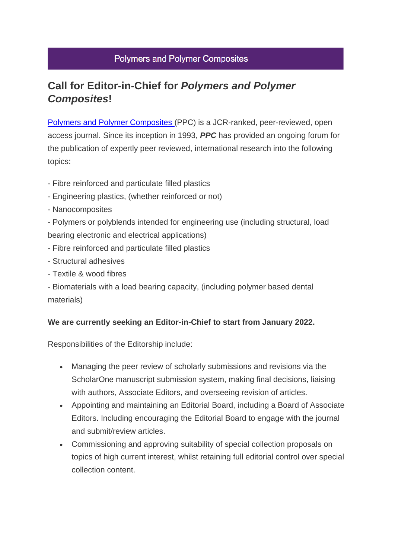## **Polymers and Polymer Composites**

## **Call for Editor-in-Chief for** *Polymers and Polymer Composites***!**

[Polymers and Polymer Composites](https://journals.sagepub.com/home/ppc) (PPC) is a JCR-ranked, peer-reviewed, open access journal. Since its inception in 1993, *PPC* has provided an ongoing forum for the publication of expertly peer reviewed, international research into the following topics:

- Fibre reinforced and particulate filled plastics
- Engineering plastics, (whether reinforced or not)
- Nanocomposites

- Polymers or polyblends intended for engineering use (including structural, load bearing electronic and electrical applications)

- Fibre reinforced and particulate filled plastics
- Structural adhesives
- Textile & wood fibres

- Biomaterials with a load bearing capacity, (including polymer based dental materials)

## **We are currently seeking an Editor-in-Chief to start from January 2022.**

Responsibilities of the Editorship include:

- Managing the peer review of scholarly submissions and revisions via the ScholarOne manuscript submission system, making final decisions, liaising with authors, Associate Editors, and overseeing revision of articles.
- Appointing and maintaining an Editorial Board, including a Board of Associate Editors. Including encouraging the Editorial Board to engage with the journal and submit/review articles.
- Commissioning and approving suitability of special collection proposals on topics of high current interest, whilst retaining full editorial control over special collection content.